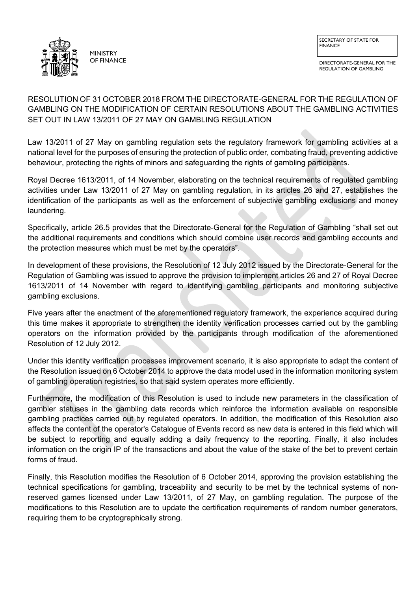

DIRECTORATE-GENERAL FOR THE REGULATION OF GAMBLING

# RESOLUTION OF 31 OCTOBER 2018 FROM THE DIRECTORATE-GENERAL FOR THE REGULATION OF GAMBLING ON THE MODIFICATION OF CERTAIN RESOLUTIONS ABOUT THE GAMBLING ACTIVITIES SET OUT IN LAW 13/2011 OF 27 MAY ON GAMBLING REGULATION

Law 13/2011 of 27 May on gambling regulation sets the regulatory framework for gambling activities at a national level for the purposes of ensuring the protection of public order, combating fraud, preventing addictive behaviour, protecting the rights of minors and safeguarding the rights of gambling participants.

Royal Decree 1613/2011, of 14 November, elaborating on the technical requirements of regulated gambling activities under Law 13/2011 of 27 May on gambling regulation, in its articles 26 and 27, establishes the identification of the participants as well as the enforcement of subjective gambling exclusions and money laundering.

Specifically, article 26.5 provides that the Directorate-General for the Regulation of Gambling "shall set out the additional requirements and conditions which should combine user records and gambling accounts and the protection measures which must be met by the operators".

In development of these provisions, the Resolution of 12 July 2012 issued by the Directorate-General for the Regulation of Gambling was issued to approve the provision to implement articles 26 and 27 of Royal Decree 1613/2011 of 14 November with regard to identifying gambling participants and monitoring subjective gambling exclusions.

Five years after the enactment of the aforementioned regulatory framework, the experience acquired during this time makes it appropriate to strengthen the identity verification processes carried out by the gambling operators on the information provided by the participants through modification of the aforementioned Resolution of 12 July 2012.

Under this identity verification processes improvement scenario, it is also appropriate to adapt the content of the Resolution issued on 6 October 2014 to approve the data model used in the information monitoring system of gambling operation registries, so that said system operates more efficiently.

Furthermore, the modification of this Resolution is used to include new parameters in the classification of gambler statuses in the gambling data records which reinforce the information available on responsible gambling practices carried out by regulated operators. In addition, the modification of this Resolution also affects the content of the operator's Catalogue of Events record as new data is entered in this field which will be subject to reporting and equally adding a daily frequency to the reporting. Finally, it also includes information on the origin IP of the transactions and about the value of the stake of the bet to prevent certain forms of fraud.

Finally, this Resolution modifies the Resolution of 6 October 2014, approving the provision establishing the technical specifications for gambling, traceability and security to be met by the technical systems of nonreserved games licensed under Law 13/2011, of 27 May, on gambling regulation. The purpose of the modifications to this Resolution are to update the certification requirements of random number generators, requiring them to be cryptographically strong.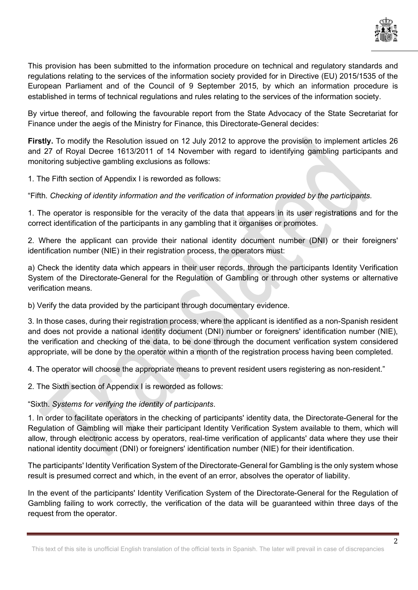

This provision has been submitted to the information procedure on technical and regulatory standards and regulations relating to the services of the information society provided for in Directive (EU) 2015/1535 of the European Parliament and of the Council of 9 September 2015, by which an information procedure is established in terms of technical regulations and rules relating to the services of the information society.

By virtue thereof, and following the favourable report from the State Advocacy of the State Secretariat for Finance under the aegis of the Ministry for Finance, this Directorate-General decides:

**Firstly.** To modify the Resolution issued on 12 July 2012 to approve the provision to implement articles 26 and 27 of Royal Decree 1613/2011 of 14 November with regard to identifying gambling participants and monitoring subjective gambling exclusions as follows:

1. The Fifth section of Appendix I is reworded as follows:

"Fifth. *Checking of identity information and the verification of information provided by the participants.*

1. The operator is responsible for the veracity of the data that appears in its user registrations and for the correct identification of the participants in any gambling that it organises or promotes.

2. Where the applicant can provide their national identity document number (DNI) or their foreigners' identification number (NIE) in their registration process, the operators must:

a) Check the identity data which appears in their user records, through the participants Identity Verification System of the Directorate-General for the Regulation of Gambling or through other systems or alternative verification means.

b) Verify the data provided by the participant through documentary evidence.

3. In those cases, during their registration process, where the applicant is identified as a non-Spanish resident and does not provide a national identity document (DNI) number or foreigners' identification number (NIE), the verification and checking of the data, to be done through the document verification system considered appropriate, will be done by the operator within a month of the registration process having been completed.

4. The operator will choose the appropriate means to prevent resident users registering as non-resident."

2. The Sixth section of Appendix I is reworded as follows:

"Sixth. *Systems for verifying the identity of participants*.

1. In order to facilitate operators in the checking of participants' identity data, the Directorate-General for the Regulation of Gambling will make their participant Identity Verification System available to them, which will allow, through electronic access by operators, real-time verification of applicants' data where they use their national identity document (DNI) or foreigners' identification number (NIE) for their identification.

The participants' Identity Verification System of the Directorate-General for Gambling is the only system whose result is presumed correct and which, in the event of an error, absolves the operator of liability.

In the event of the participants' Identity Verification System of the Directorate-General for the Regulation of Gambling failing to work correctly, the verification of the data will be guaranteed within three days of the request from the operator.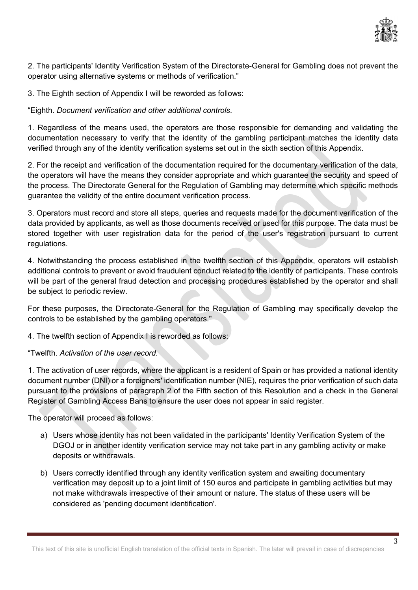

2. The participants' Identity Verification System of the Directorate-General for Gambling does not prevent the operator using alternative systems or methods of verification."

3. The Eighth section of Appendix I will be reworded as follows:

"Eighth. *Document verification and other additional controls*.

1. Regardless of the means used, the operators are those responsible for demanding and validating the documentation necessary to verify that the identity of the gambling participant matches the identity data verified through any of the identity verification systems set out in the sixth section of this Appendix.

2. For the receipt and verification of the documentation required for the documentary verification of the data, the operators will have the means they consider appropriate and which guarantee the security and speed of the process. The Directorate General for the Regulation of Gambling may determine which specific methods guarantee the validity of the entire document verification process.

3. Operators must record and store all steps, queries and requests made for the document verification of the data provided by applicants, as well as those documents received or used for this purpose. The data must be stored together with user registration data for the period of the user's registration pursuant to current regulations.

4. Notwithstanding the process established in the twelfth section of this Appendix, operators will establish additional controls to prevent or avoid fraudulent conduct related to the identity of participants. These controls will be part of the general fraud detection and processing procedures established by the operator and shall be subject to periodic review.

For these purposes, the Directorate-General for the Regulation of Gambling may specifically develop the controls to be established by the gambling operators."

4. The twelfth section of Appendix I is reworded as follows:

"Twelfth. *Activation of the user record*.

1. The activation of user records, where the applicant is a resident of Spain or has provided a national identity document number (DNI) or a foreigners' identification number (NIE), requires the prior verification of such data pursuant to the provisions of paragraph 2 of the Fifth section of this Resolution and a check in the General Register of Gambling Access Bans to ensure the user does not appear in said register.

The operator will proceed as follows:

- a) Users whose identity has not been validated in the participants' Identity Verification System of the DGOJ or in another identity verification service may not take part in any gambling activity or make deposits or withdrawals.
- b) Users correctly identified through any identity verification system and awaiting documentary verification may deposit up to a joint limit of 150 euros and participate in gambling activities but may not make withdrawals irrespective of their amount or nature. The status of these users will be considered as 'pending document identification'.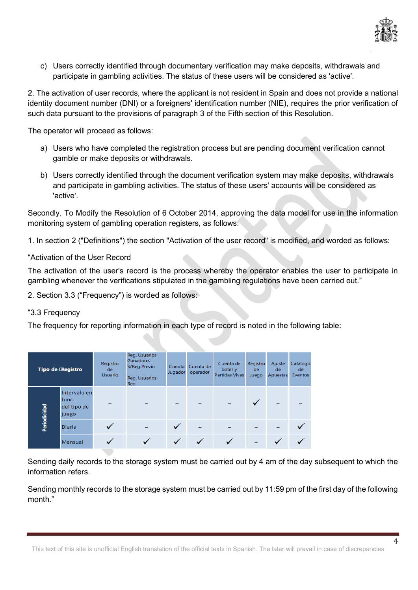

c) Users correctly identified through documentary verification may make deposits, withdrawals and participate in gambling activities. The status of these users will be considered as 'active'.

2. The activation of user records, where the applicant is not resident in Spain and does not provide a national identity document number (DNI) or a foreigners' identification number (NIE), requires the prior verification of such data pursuant to the provisions of paragraph 3 of the Fifth section of this Resolution.

The operator will proceed as follows:

- a) Users who have completed the registration process but are pending document verification cannot gamble or make deposits or withdrawals.
- b) Users correctly identified through the document verification system may make deposits, withdrawals and participate in gambling activities. The status of these users' accounts will be considered as 'active'.

Secondly. To Modify the Resolution of 6 October 2014, approving the data model for use in the information monitoring system of gambling operation registers, as follows:

1. In section 2 ("Definitions") the section "Activation of the user record" is modified, and worded as follows:

## "Activation of the User Record

The activation of the user's record is the process whereby the operator enables the user to participate in gambling whenever the verifications stipulated in the gambling regulations have been carried out."

2. Section 3.3 ("Frequency") is worded as follows:

### "3.3 Frequency

The frequency for reporting information in each type of record is noted in the following table:

| Tipo de <b>Registro</b> |                                               | Registro<br>de<br><b>Usuario</b> | Reg. Usuarios<br>Ganadores<br>S/Reg.Previo<br>Reg. Usuarios<br>Red | Cuenta<br>Jugador | Cuenta de<br>operador | Cuenta de<br>botes y<br><b>Partidas Vivas</b> | Registro<br>de<br>Juego | Ajuste<br>de<br>Apuestas | Catálogo<br>de<br>Eventos |
|-------------------------|-----------------------------------------------|----------------------------------|--------------------------------------------------------------------|-------------------|-----------------------|-----------------------------------------------|-------------------------|--------------------------|---------------------------|
| Periodicidad            | Intervalo en<br>func.<br>del tipo de<br>juego |                                  |                                                                    |                   |                       |                                               |                         |                          |                           |
|                         | <b>Diaria</b>                                 |                                  |                                                                    |                   |                       |                                               |                         |                          |                           |
|                         | Mensual                                       |                                  |                                                                    |                   |                       |                                               |                         |                          |                           |

Sending daily records to the storage system must be carried out by 4 am of the day subsequent to which the information refers.

Sending monthly records to the storage system must be carried out by 11:59 pm of the first day of the following month."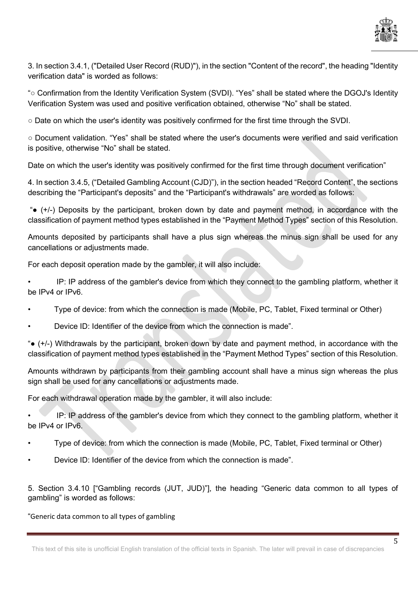

3. In section 3.4.1, ("Detailed User Record (RUD)"), in the section "Content of the record", the heading "Identity verification data" is worded as follows:

"○ Confirmation from the Identity Verification System (SVDI). "Yes" shall be stated where the DGOJ's Identity Verification System was used and positive verification obtained, otherwise "No" shall be stated.

○ Date on which the user's identity was positively confirmed for the first time through the SVDI.

○ Document validation. "Yes" shall be stated where the user's documents were verified and said verification is positive, otherwise "No" shall be stated.

Date on which the user's identity was positively confirmed for the first time through document verification"

4. In section 3.4.5, ("Detailed Gambling Account (CJD)"), in the section headed "Record Content", the sections describing the "Participant's deposits" and the "Participant's withdrawals" are worded as follows:

"● (+/-) Deposits by the participant, broken down by date and payment method, in accordance with the classification of payment method types established in the "Payment Method Types" section of this Resolution.

Amounts deposited by participants shall have a plus sign whereas the minus sign shall be used for any cancellations or adjustments made.

For each deposit operation made by the gambler, it will also include:

• IP: IP address of the gambler's device from which they connect to the gambling platform, whether it be IPv4 or IPv6.

- Type of device: from which the connection is made (Mobile, PC, Tablet, Fixed terminal or Other)
- Device ID: Identifier of the device from which the connection is made".

"● (+/-) Withdrawals by the participant, broken down by date and payment method, in accordance with the classification of payment method types established in the "Payment Method Types" section of this Resolution.

Amounts withdrawn by participants from their gambling account shall have a minus sign whereas the plus sign shall be used for any cancellations or adjustments made.

For each withdrawal operation made by the gambler, it will also include:

• IP: IP address of the gambler's device from which they connect to the gambling platform, whether it be IPv4 or IPv6.

- Type of device: from which the connection is made (Mobile, PC, Tablet, Fixed terminal or Other)
- Device ID: Identifier of the device from which the connection is made".

5. Section 3.4.10 ["Gambling records (JUT, JUD)"], the heading "Generic data common to all types of gambling" is worded as follows:

### "Generic data common to all types of gambling

This text of this site is unofficial English translation of the official texts in Spanish. The later will prevail in case of discrepancies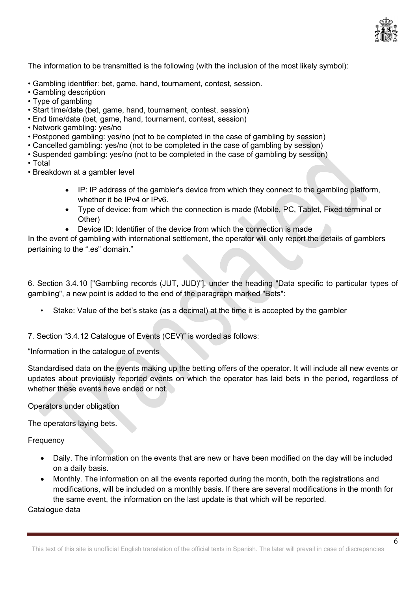

The information to be transmitted is the following (with the inclusion of the most likely symbol):

- Gambling identifier: bet, game, hand, tournament, contest, session.
- Gambling description
- Type of gambling
- Start time/date (bet, game, hand, tournament, contest, session)
- End time/date (bet, game, hand, tournament, contest, session)
- Network gambling: yes/no
- Postponed gambling: yes/no (not to be completed in the case of gambling by session)
- Cancelled gambling: yes/no (not to be completed in the case of gambling by session)
- Suspended gambling: yes/no (not to be completed in the case of gambling by session)
- Total

• Breakdown at a gambler level

- IP: IP address of the gambler's device from which they connect to the gambling platform, whether it be IPv4 or IPv6.
- Type of device: from which the connection is made (Mobile, PC, Tablet, Fixed terminal or Other)
- Device ID: Identifier of the device from which the connection is made

In the event of gambling with international settlement, the operator will only report the details of gamblers pertaining to the ".es" domain."

6. Section 3.4.10 ["Gambling records (JUT, JUD)"], under the heading "Data specific to particular types of gambling", a new point is added to the end of the paragraph marked "Bets":

• Stake: Value of the bet's stake (as a decimal) at the time it is accepted by the gambler

7. Section "3.4.12 Catalogue of Events (CEV)" is worded as follows:

"Information in the catalogue of events

Standardised data on the events making up the betting offers of the operator. It will include all new events or updates about previously reported events on which the operator has laid bets in the period, regardless of whether these events have ended or not.

Operators under obligation

The operators laying bets.

**Frequency** 

- Daily. The information on the events that are new or have been modified on the day will be included on a daily basis.
- Monthly. The information on all the events reported during the month, both the registrations and modifications, will be included on a monthly basis. If there are several modifications in the month for the same event, the information on the last update is that which will be reported.

Catalogue data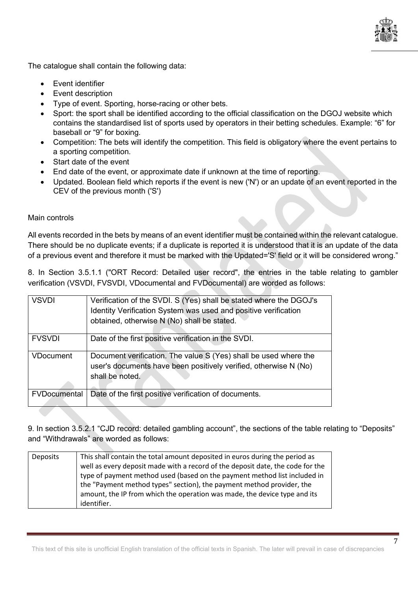

The catalogue shall contain the following data:

- Event identifier
- Event description
- Type of event. Sporting, horse-racing or other bets.
- Sport: the sport shall be identified according to the official classification on the DGOJ website which contains the standardised list of sports used by operators in their betting schedules. Example: "6" for baseball or "9" for boxing.
- Competition: The bets will identify the competition. This field is obligatory where the event pertains to a sporting competition.
- Start date of the event
- End date of the event, or approximate date if unknown at the time of reporting.
- Updated. Boolean field which reports if the event is new ('N') or an update of an event reported in the CEV of the previous month ('S')

## Main controls

All events recorded in the bets by means of an event identifier must be contained within the relevant catalogue. There should be no duplicate events; if a duplicate is reported it is understood that it is an update of the data of a previous event and therefore it must be marked with the Updated='S' field or it will be considered wrong."

8. In Section 3.5.1.1 ("ORT Record: Detailed user record", the entries in the table relating to gambler verification (VSVDI, FVSVDI, VDocumental and FVDocumental) are worded as follows:

| <b>VSVDI</b>        | Verification of the SVDI. S (Yes) shall be stated where the DGOJ's<br>Identity Verification System was used and positive verification<br>obtained, otherwise N (No) shall be stated. |
|---------------------|--------------------------------------------------------------------------------------------------------------------------------------------------------------------------------------|
| <b>FVSVDI</b>       | Date of the first positive verification in the SVDI.                                                                                                                                 |
| <b>VDocument</b>    | Document verification. The value S (Yes) shall be used where the<br>user's documents have been positively verified, otherwise N (No)<br>shall be noted.                              |
| <b>FVDocumental</b> | Date of the first positive verification of documents.                                                                                                                                |

9. In section 3.5.2.1 "CJD record: detailed gambling account", the sections of the table relating to "Deposits" and "Withdrawals" are worded as follows:

| Deposits | This shall contain the total amount deposited in euros during the period as    |
|----------|--------------------------------------------------------------------------------|
|          | well as every deposit made with a record of the deposit date, the code for the |
|          | type of payment method used (based on the payment method list included in      |
|          | the "Payment method types" section), the payment method provider, the          |
|          | amount, the IP from which the operation was made, the device type and its      |
|          | identifier.                                                                    |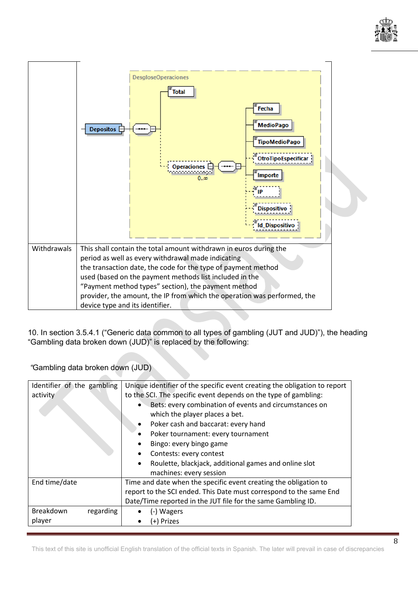



10. In section 3.5.4.1 ("Generic data common to all types of gambling (JUT and JUD)"), the heading "Gambling data broken down (JUD)" is replaced by the following:

*"*Gambling data broken down (JUD)

| Identifier of the gambling<br>activity | Unique identifier of the specific event creating the obligation to report<br>to the SCI. The specific event depends on the type of gambling:<br>Bets: every combination of events and circumstances on<br>which the player places a bet.<br>Poker cash and baccarat: every hand<br>$\bullet$<br>Poker tournament: every tournament<br>Bingo: every bingo game<br>٠<br>Contests: every contest<br>Roulette, blackjack, additional games and online slot<br>$\bullet$ |
|----------------------------------------|---------------------------------------------------------------------------------------------------------------------------------------------------------------------------------------------------------------------------------------------------------------------------------------------------------------------------------------------------------------------------------------------------------------------------------------------------------------------|
|                                        | machines: every session                                                                                                                                                                                                                                                                                                                                                                                                                                             |
| End time/date                          | Time and date when the specific event creating the obligation to                                                                                                                                                                                                                                                                                                                                                                                                    |
|                                        | report to the SCI ended. This Date must correspond to the same End                                                                                                                                                                                                                                                                                                                                                                                                  |
|                                        | Date/Time reported in the JUT file for the same Gambling ID.                                                                                                                                                                                                                                                                                                                                                                                                        |
| Breakdown<br>regarding                 | (-) Wagers                                                                                                                                                                                                                                                                                                                                                                                                                                                          |
| player                                 | (+) Prizes                                                                                                                                                                                                                                                                                                                                                                                                                                                          |

This text of this site is unofficial English translation of the official texts in Spanish. The later will prevail in case of discrepancies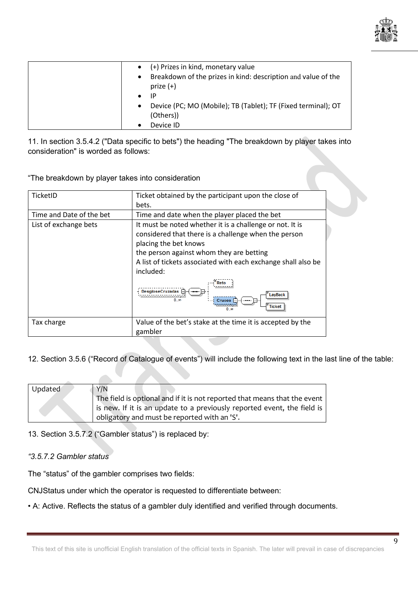

| $\bullet$ | (+) Prizes in kind, monetary value                                           |
|-----------|------------------------------------------------------------------------------|
| $\bullet$ | Breakdown of the prizes in kind: description and value of the<br>prize $(+)$ |
|           | IP                                                                           |
| $\bullet$ | Device (PC; MO (Mobile); TB (Tablet); TF (Fixed terminal); OT<br>(Others))   |
|           | Device ID                                                                    |

11. In section 3.5.4.2 ("Data specific to bets") the heading "The breakdown by player takes into consideration" is worded as follows:

"The breakdown by player takes into consideration

| TicketID                 | Ticket obtained by the participant upon the close of<br>bets.                                                                                                                                                                                                                                                                                   |
|--------------------------|-------------------------------------------------------------------------------------------------------------------------------------------------------------------------------------------------------------------------------------------------------------------------------------------------------------------------------------------------|
| Time and Date of the bet | Time and date when the player placed the bet                                                                                                                                                                                                                                                                                                    |
| List of exchange bets    | It must be noted whether it is a challenge or not. It is<br>considered that there is a challenge when the person<br>placing the bet knows<br>the person against whom they are betting<br>A list of tickets associated with each exchange shall also be<br>included:<br>DesgloseCruzadas A<br><b>LayBack</b><br>$Cruces$ $\Box$<br>Ticket<br>າ ຫ |
| Tax charge               | Value of the bet's stake at the time it is accepted by the<br>gambler                                                                                                                                                                                                                                                                           |

12. Section 3.5.6 ("Record of Catalogue of events") will include the following text in the last line of the table:

| Updated | Y/N                                                                       |
|---------|---------------------------------------------------------------------------|
|         | The field is optional and if it is not reported that means that the event |
|         | is new. If it is an update to a previously reported event, the field is   |
|         | obligatory and must be reported with an 'S'.                              |

13. Section 3.5.7.2 ("Gambler status") is replaced by:

# *"3.5.7.2 Gambler status*

The "status" of the gambler comprises two fields:

CNJStatus under which the operator is requested to differentiate between:

• A: Active. Reflects the status of a gambler duly identified and verified through documents.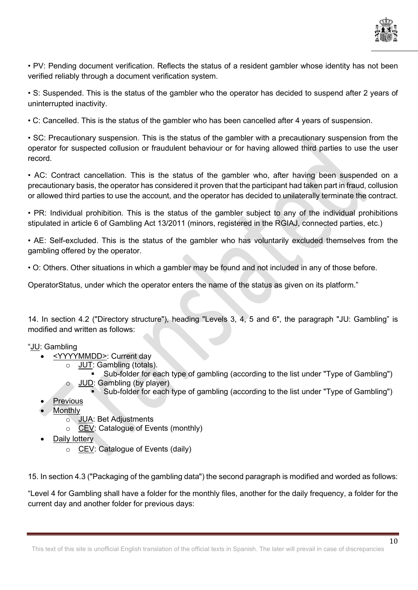

• PV: Pending document verification. Reflects the status of a resident gambler whose identity has not been verified reliably through a document verification system.

• S: Suspended. This is the status of the gambler who the operator has decided to suspend after 2 years of uninterrupted inactivity.

• C: Cancelled. This is the status of the gambler who has been cancelled after 4 years of suspension.

• SC: Precautionary suspension. This is the status of the gambler with a precautionary suspension from the operator for suspected collusion or fraudulent behaviour or for having allowed third parties to use the user record.

• AC: Contract cancellation. This is the status of the gambler who, after having been suspended on a precautionary basis, the operator has considered it proven that the participant had taken part in fraud, collusion or allowed third parties to use the account, and the operator has decided to unilaterally terminate the contract.

• PR: Individual prohibition. This is the status of the gambler subject to any of the individual prohibitions stipulated in article 6 of Gambling Act 13/2011 (minors, registered in the RGIAJ, connected parties, etc.)

• AE: Self-excluded. This is the status of the gambler who has voluntarily excluded themselves from the gambling offered by the operator.

• O: Others. Other situations in which a gambler may be found and not included in any of those before.

OperatorStatus, under which the operator enters the name of the status as given on its platform."

14. In section 4.2 ("Directory structure"), heading "Levels 3, 4, 5 and 6", the paragraph "JU: Gambling" is modified and written as follows:

# "JU: Gambling

- <YYYYMMDD>: Current day
	- JUT: Gambling (totals).
	- Sub-folder for each type of gambling (according to the list under "Type of Gambling") o JUD: Gambling (by player)
		- Sub-folder for each type of gambling (according to the list under "Type of Gambling")
- **Previous**
- **Monthly** 
	- o **JUA: Bet Adjustments**<br> **O CEV: Catalogue of Eve** 
		- CEV: Catalogue of Events (monthly)
- Daily lottery
	- o CEV: Catalogue of Events (daily)

15. In section 4.3 ("Packaging of the gambling data") the second paragraph is modified and worded as follows:

"Level 4 for Gambling shall have a folder for the monthly files, another for the daily frequency, a folder for the current day and another folder for previous days: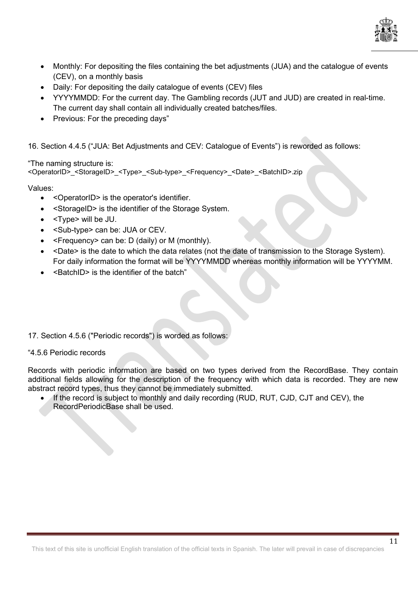

- Monthly: For depositing the files containing the bet adjustments (JUA) and the catalogue of events (CEV), on a monthly basis
- Daily: For depositing the daily catalogue of events (CEV) files
- YYYYMMDD: For the current day. The Gambling records (JUT and JUD) are created in real-time. The current day shall contain all individually created batches/files.
- Previous: For the preceding days"

16. Section 4.4.5 ("JUA: Bet Adjustments and CEV: Catalogue of Events") is reworded as follows:

"The naming structure is: <OperatorID>\_<StorageID>\_<Type>\_<Sub-type>\_<Frequency>\_<Date>\_<BatchID>.zip

Values:

- <OperatorID> is the operator's identifier.
- <StorageID> is the identifier of the Storage System.
- <Type> will be JU.
- <Sub-type> can be: JUA or CEV.
- <Frequency> can be: D (daily) or M (monthly).
- <Date> is the date to which the data relates (not the date of transmission to the Storage System). For daily information the format will be YYYYMMDD whereas monthly information will be YYYYMM.
- <BatchID> is the identifier of the batch"
- 17. Section 4.5.6 ("Periodic records") is worded as follows:

#### "4.5.6 Periodic records

Records with periodic information are based on two types derived from the RecordBase. They contain additional fields allowing for the description of the frequency with which data is recorded. They are new abstract record types, thus they cannot be immediately submitted.

If the record is subiect to monthly and daily recording (RUD, RUT, CJD, CJT and CEV), the RecordPeriodicBase shall be used.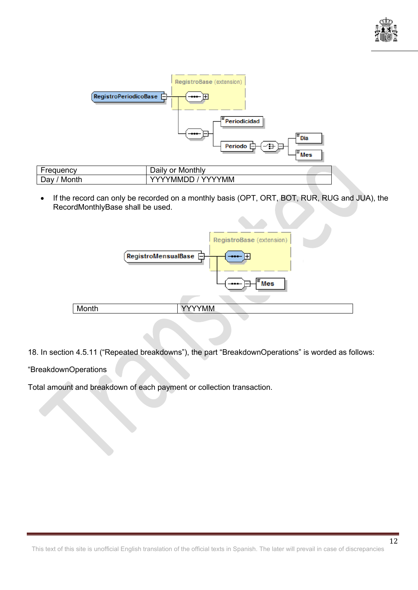



• If the record can only be recorded on a monthly basis (OPT, ORT, BOT, RUR, RUG and JUA), the RecordMonthlyBase shall be used.



18. In section 4.5.11 ("Repeated breakdowns"), the part "BreakdownOperations" is worded as follows:

### "BreakdownOperations

Total amount and breakdown of each payment or collection transaction.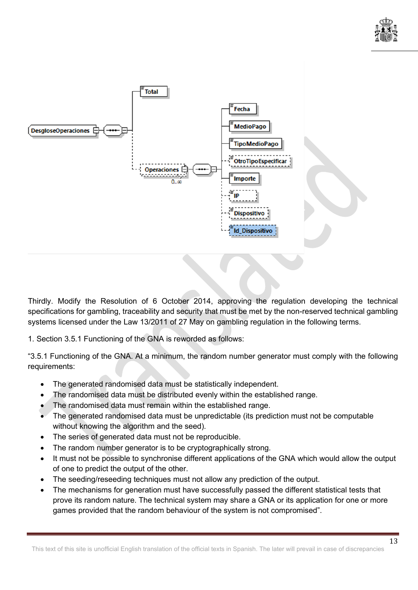



Thirdly. Modify the Resolution of 6 October 2014, approving the regulation developing the technical specifications for gambling, traceability and security that must be met by the non-reserved technical gambling systems licensed under the Law 13/2011 of 27 May on gambling regulation in the following terms.

1. Section 3.5.1 Functioning of the GNA is reworded as follows:

"3.5.1 Functioning of the GNA. At a minimum, the random number generator must comply with the following requirements:

- The generated randomised data must be statistically independent.
- The randomised data must be distributed evenly within the established range.
- The randomised data must remain within the established range.
- The generated randomised data must be unpredictable (its prediction must not be computable without knowing the algorithm and the seed).
- The series of generated data must not be reproducible.
- The random number generator is to be cryptographically strong.
- It must not be possible to synchronise different applications of the GNA which would allow the output of one to predict the output of the other.
- The seeding/reseeding techniques must not allow any prediction of the output.
- The mechanisms for generation must have successfully passed the different statistical tests that prove its random nature. The technical system may share a GNA or its application for one or more games provided that the random behaviour of the system is not compromised".